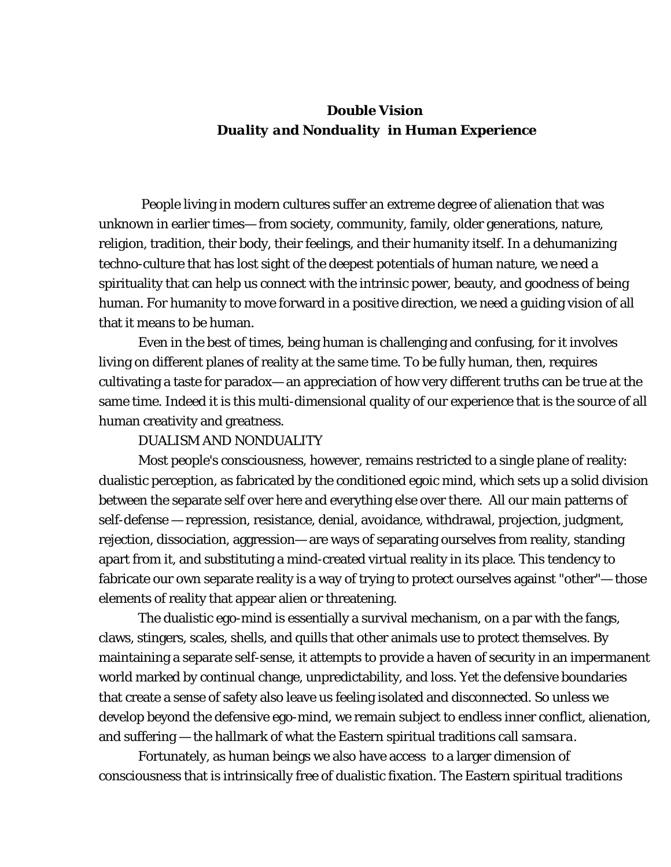# *Double Vision Duality and Nonduality in Human Experience*

 People living in modern cultures suffer an extreme degree of alienation that was unknown in earlier times— from society, community, family, older generations, nature, religion, tradition, their body, their feelings, and their humanity itself. In a dehumanizing techno-culture that has lost sight of the deepest potentials of human nature, we need a spirituality that can help us connect with the intrinsic power, beauty, and goodness of being human. For humanity to move forward in a positive direction, we need a guiding vision of all that it means to be human.

Even in the best of times, being human is challenging and confusing, for it involves living on different planes of reality at the same time. To be fully human, then, requires cultivating a taste for paradox— an appreciation of how very different truths can be true at the same time. Indeed it is this multi-dimensional quality of our experience that is the source of all human creativity and greatness.

### DUALISM AND NONDUALITY

Most people's consciousness, however, remains restricted to a single plane of reality: dualistic perception, as fabricated by the conditioned egoic mind, which sets up a solid division between the separate self over here and everything else over there. All our main patterns of self-defense — repression, resistance, denial, avoidance, withdrawal, projection, judgment, rejection, dissociation, aggression— are ways of separating ourselves from reality, standing apart from it, and substituting a mind-created virtual reality in its place. This tendency to fabricate our own separate reality is a way of trying to protect ourselves against "other"— those elements of reality that appear alien or threatening.

The dualistic ego-mind is essentially a survival mechanism, on a par with the fangs, claws, stingers, scales, shells, and quills that other animals use to protect themselves. By maintaining a separate self-sense, it attempts to provide a haven of security in an impermanent world marked by continual change, unpredictability, and loss. Yet the defensive boundaries that create a sense of safety also leave us feeling isolated and disconnected. So unless we develop beyond the defensive ego-mind, we remain subject to endless inner conflict, alienation, and suffering — the hallmark of what the Eastern spiritual traditions call *samsara*.

Fortunately, as human beings we also have access to a larger dimension of consciousness that is intrinsically free of dualistic fixation. The Eastern spiritual traditions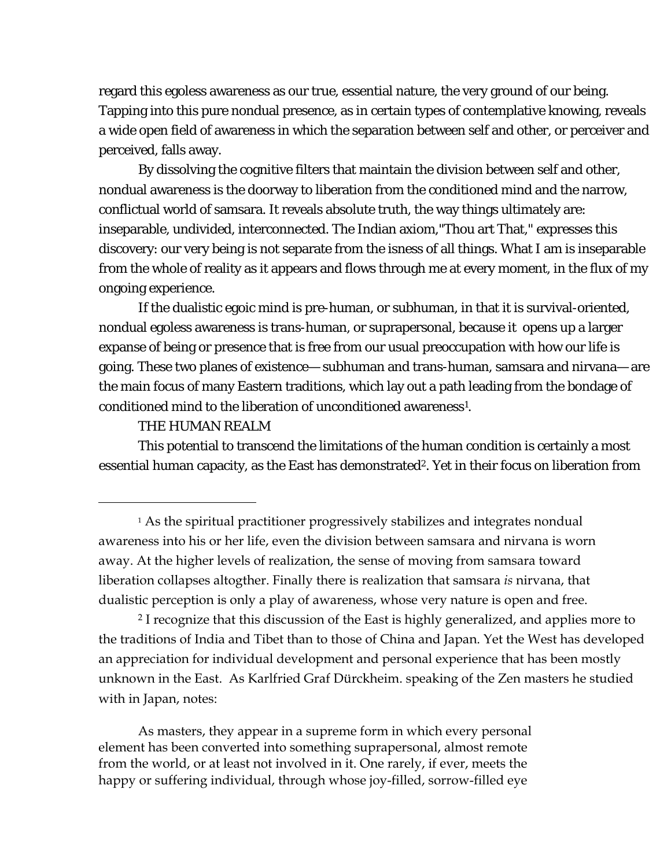<span id="page-1-1"></span>regard this egoless awareness as our true, essential nature, the very ground of our being. Tapping into this pure nondual presence, as in certain types of contemplative knowing, reveals a wide open field of awareness in which the separation between self and other, or perceiver and perceived, falls away.

By dissolving the cognitive filters that maintain the division between self and other, nondual awareness is the doorway to liberation from the conditioned mind and the narrow, conflictual world of samsara. It reveals absolute truth, the way things ultimately are: inseparable, undivided, interconnected. The Indian axiom,"Thou art That," expresses this discovery: our very being is not separate from the isness of all things. What I am is inseparable from the whole of reality as it appears and flows through me at every moment, in the flux of my ongoing experience.

If the dualistic egoic mind is pre-human, or subhuman, in that it is survival-oriented, nondual egoless awareness is trans-human, or suprapersonal, because it opens up a larger expanse of being or presence that is free from our usual preoccupation with how our life is going. These two planes of existence— subhuman and trans-human, samsara and nirvana— are the main focus of many Eastern traditions, which lay out a path leading from the bondage of conditioned mind to the liberation of unconditioned awareness<sup>1</sup>.

#### THE HUMAN REALM

<u>.</u>

This potential to transcend the limitations of the human condition is certainly a most essential human capacity, as the East has demonstrated<sup>2</sup>. Yet in their focus on liberation from

2 I recognize that this discussion of the East is highly generalized, and applies more to the traditions of India and Tibet than to those of China and Japan. Yet the West has developed an appreciation for individual development and personal experience that has been mostly unknown in the East. As Karlfried Graf Dürckheim. speaking of the Zen masters he studied with in Japan, notes:

As masters, they appear in a supreme form in which every personal element has been converted into something suprapersonal, almost remote from the world, or at least not involved in it. One rarely, if ever, meets the happy or suffering individual, through whose joy-filled, sorrow-filled eye

<span id="page-1-0"></span><sup>1</sup> As the spiritual practitioner progressively stabilizes and integrates nondual awareness into his or her life, even the division between samsara and nirvana is worn away. At the higher levels of realization, the sense of moving from samsara toward liberation collapses altogther. Finally there is realization that samsara *is* nirvana, that dualistic perception is only a play of awareness, whose very nature is open and free.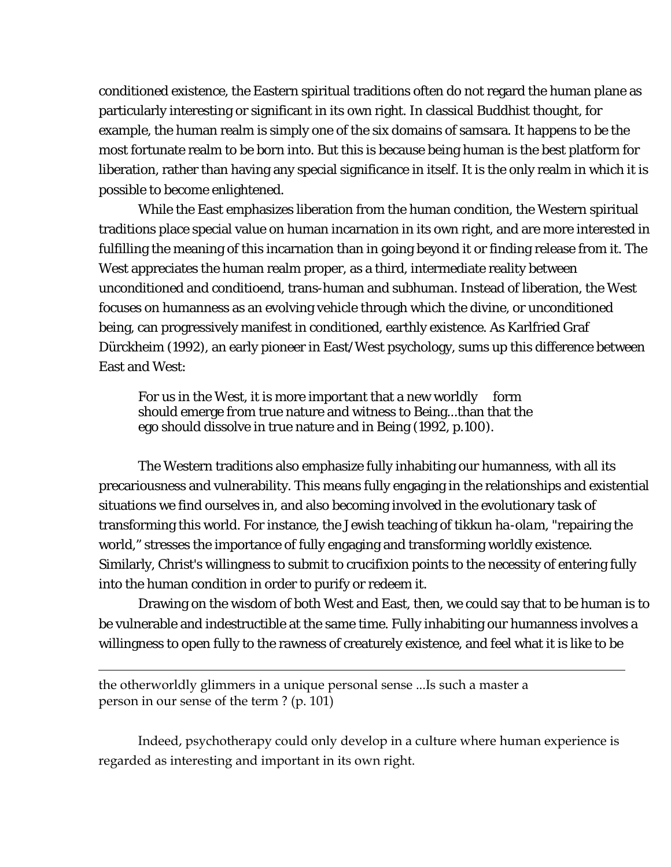conditioned existence, the Eastern spiritual traditions often do not regard the human plane as particularly interesting or significant in its own right. In classical Buddhist thought, for example, the human realm is simply one of the six domains of samsara. It happens to be the most fortunate realm to be born into. But this is because being human is the best platform for liberation, rather than having any special significance in itself. It is the only realm in which it is possible to become enlightened.

While the East emphasizes liberation from the human condition, the Western spiritual traditions place special value on human incarnation in its own right, and are more interested in fulfilling the meaning of this incarnation than in going beyond it or finding release from it. The West appreciates the human realm proper, as a third, intermediate reality between unconditioned and conditioend, trans-human and subhuman. Instead of liberation, the West focuses on humanness as an evolving vehicle through which the divine, or unconditioned being, can progressively manifest in conditioned, earthly existence. As Karlfried Graf Dürckheim (1992), an early pioneer in East/West psychology, sums up this difference between East and West:

For us in the West, it is more important that a new worldly form should emerge *from* true nature and witness to Being...than that the ego should dissolve *in* true nature and *in* Being (1992, p.100).

The Western traditions also emphasize fully inhabiting our humanness, with all its precariousness and vulnerability. This means fully engaging in the relationships and existential situations we find ourselves in, and also becoming involved in the evolutionary task of transforming this world. For instance, the Jewish teaching of *tikkun ha-olam*, "repairing the world," stresses the importance of fully engaging and transforming worldly existence. Similarly, Christ's willingness to submit to crucifixion points to the necessity of entering fully into the human condition in order to purify or redeem it.

Drawing on the wisdom of both West and East, then, we could say that to be human is to be vulnerable and indestructible at the same time. Fully inhabiting our humanness involves a willingness to open fully to the rawness of creaturely existence, and feel what it is like to be

the otherworldly glimmers in a unique personal sense ...Is such a master a person in our sense of the term ? (p. 101)

 $\overline{a}$ 

Indeed, psychotherapy could only develop in a culture where human experience is regarded as interesting and important in its own right.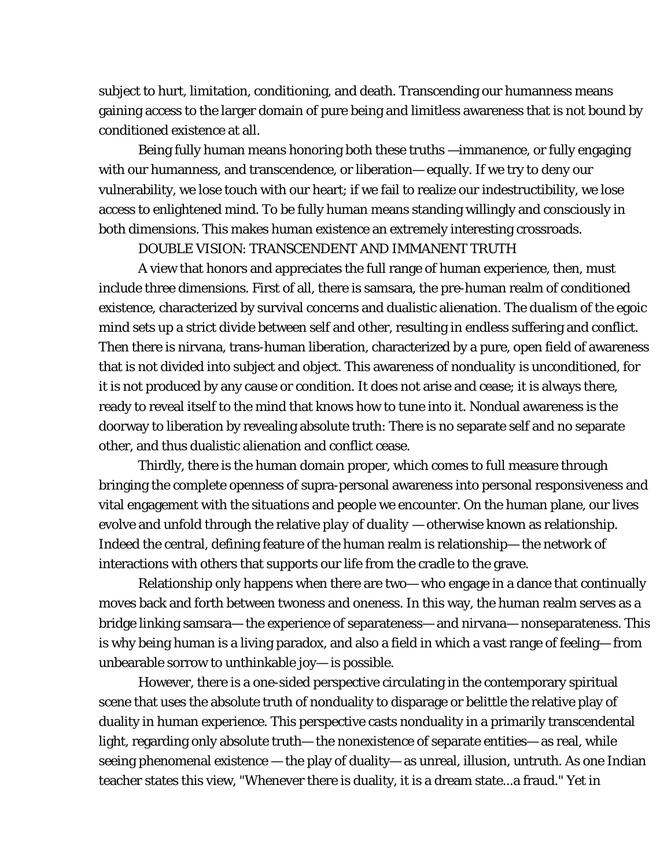subject to hurt, limitation, conditioning, and death. Transcending our humanness means gaining access to the larger domain of pure being and limitless awareness that is not bound by conditioned existence at all.

Being fully human means honoring both these truths —immanence, or fully engaging with our humanness, and transcendence, or liberation— equally. If we try to deny our vulnerability, we lose touch with our heart; if we fail to realize our indestructibility, we lose access to enlightened mind. To be fully human means standing willingly and consciously in both dimensions. This makes human existence an extremely interesting crossroads.

### DOUBLE VISION: TRANSCENDENT AND IMMANENT TRUTH

A view that honors and appreciates the full range of human experience, then, must include three dimensions. First of all, there is samsara, the pre-human realm of conditioned existence, characterized by survival concerns and dualistic alienation. The *dualism* of the egoic mind sets up a strict divide between self and other, resulting in endless suffering and conflict. Then there is nirvana, trans-human liberation, characterized by a pure, open field of awareness that is not divided into subject and object. This awareness of *nonduality* is unconditioned, for it is not produced by any cause or condition. It does not arise and cease; it is always there, ready to reveal itself to the mind that knows how to tune into it. Nondual awareness is the doorway to liberation by revealing absolute truth: There is no separate self and no separate other, and thus dualistic alienation and conflict cease.

Thirdly, there is the human domain proper, which comes to full measure through bringing the complete openness of supra-personal awareness into personal responsiveness and vital engagement with the situations and people we encounter. On the human plane, our lives evolve and unfold through the relative *play of duality —* otherwise known as relationship. Indeed the central, defining feature of the human realm *is* relationship— the network of interactions with others that supports our life from the cradle to the grave.

Relationship only happens when there are two— who engage in a dance that continually moves back and forth between twoness and oneness. In this way, the human realm serves as a bridge linking samsara— the experience of separateness— and nirvana— nonseparateness. This is why being human is a living paradox, and also a field in which a vast range of feeling— from unbearable sorrow to unthinkable joy— is possible.

However, there is a one-sided perspective circulating in the contemporary spiritual scene that uses the absolute truth of nonduality to disparage or belittle the relative play of duality in human experience. This perspective casts nonduality in a primarily transcendental light, regarding only absolute truth— the nonexistence of separate entities— as real, while seeing phenomenal existence — the play of duality— as unreal, illusion, untruth. As one Indian teacher states this view, "Whenever there is duality, it is a dream state...a fraud." Yet in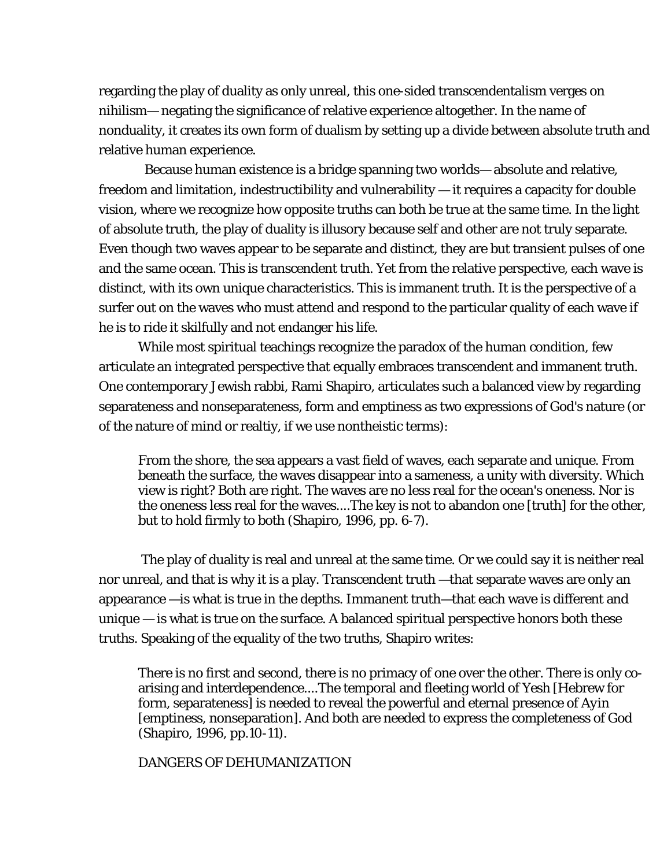regarding the play of duality as only unreal, this one-sided transcendentalism verges on nihilism— negating the significance of relative experience altogether. In the name of nonduality, it creates its own form of dualism by setting up a divide between absolute truth and relative human experience.

 Because human existence is a bridge spanning two worlds— absolute and relative, freedom and limitation, indestructibility and vulnerability — it requires a capacity for double vision, where we recognize how opposite truths can both be true at the same time. In the light of absolute truth, the play of duality is illusory because self and other are not truly separate. Even though two waves appear to be separate and distinct, they are but transient pulses of one and the same ocean. This is transcendent truth. Yet from the relative perspective, each wave is distinct, with its own unique characteristics. This is immanent truth. It is the perspective of a surfer out on the waves who must attend and respond to the particular quality of each wave if he is to ride it skilfully and not endanger his life.

While most spiritual teachings recognize the paradox of the human condition, few articulate an integrated perspective that equally embraces transcendent and immanent truth. One contemporary Jewish rabbi, Rami Shapiro, articulates such a balanced view by regarding separateness and nonseparateness, form and emptiness as two expressions of God's nature (or of the nature of mind or realtiy, if we use nontheistic terms):

From the shore, the sea appears a vast field of waves, each separate and unique. From beneath the surface, the waves disappear into a sameness, a unity with diversity. Which view is right? Both are right. The waves are no less real for the ocean's oneness. Nor is the oneness less real for the waves....The key is not to abandon one [truth] for the other, but to hold firmly to both (Shapiro, 1996, pp. 6-7).

 The play of duality is real and unreal at the same time. Or we could say it is neither real nor unreal, and that is why it is a play. Transcendent truth —that separate waves are only an appearance —is what is true in the depths. Immanent truth—that each wave is different and unique — is what is true on the surface. A balanced spiritual perspective honors both these truths. Speaking of the equality of the two truths, Shapiro writes:

There is no first and second, there is no primacy of one over the other. There is only coarising and interdependence....The temporal and fleeting world of *Yesh* [Hebrew for form, separateness] is needed to reveal the powerful and eternal presence of *Ayin* [emptiness, nonseparation]. And both are needed to express the completeness of God (Shapiro, 1996, pp.10-11).

DANGERS OF DEHUMANIZATION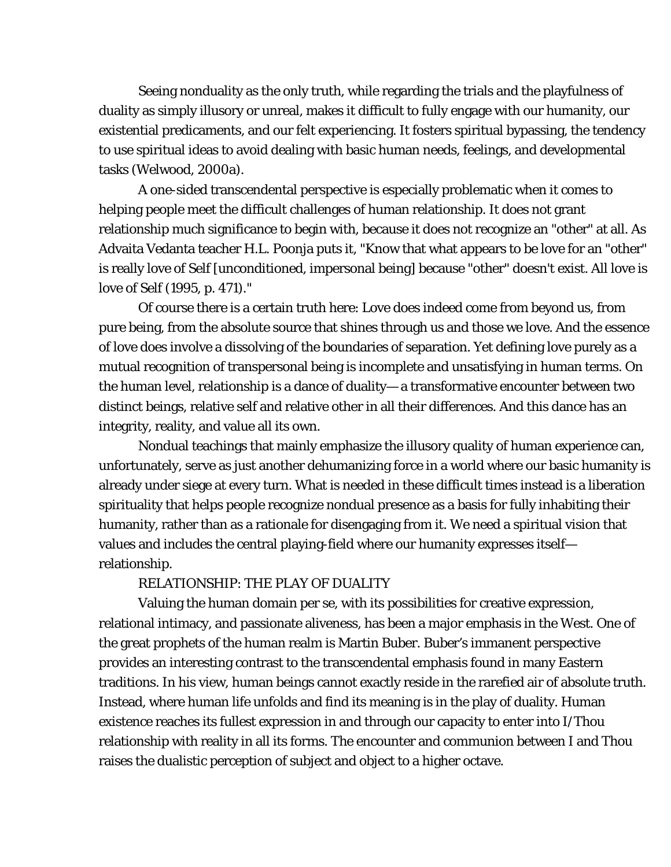Seeing nonduality as the only truth, while regarding the trials and the playfulness of duality as simply illusory or unreal, makes it difficult to fully engage with our humanity, our existential predicaments, and our felt experiencing. It fosters spiritual bypassing, the tendency to use spiritual ideas to avoid dealing with basic human needs, feelings, and developmental tasks (Welwood, 2000a).

A one-sided transcendental perspective is especially problematic when it comes to helping people meet the difficult challenges of human relationship. It does not grant relationship much significance to begin with, because it does not recognize an "other" at all. As Advaita Vedanta teacher H.L. Poonja puts it, "Know that what appears to be love for an "other" is really love of Self [unconditioned, impersonal being] because "other" doesn't exist. All love is love of Self (1995, p. 471)."

Of course there is a certain truth here: Love does indeed come from beyond us, from pure being, from the absolute source that shines through us and those we love. And the essence of love does involve a dissolving of the boundaries of separation. Yet defining love purely as a mutual recognition of transpersonal being is incomplete and unsatisfying in human terms. On the human level, relationship is a dance of duality— a transformative encounter between two distinct beings, relative self and relative other in all their differences. And this dance has an integrity, reality, and value all its own.

Nondual teachings that mainly emphasize the illusory quality of human experience can, unfortunately, serve as just another dehumanizing force in a world where our basic humanity is already under siege at every turn. What is needed in these difficult times instead is a liberation spirituality that helps people recognize nondual presence as a basis for fully inhabiting their humanity, rather than as a rationale for disengaging from it. We need a spiritual vision that values and includes the central playing-field where our humanity expresses itself relationship.

## RELATIONSHIP: THE PLAY OF DUALITY

Valuing the human domain per se, with its possibilities for creative expression, relational intimacy, and passionate aliveness, has been a major emphasis in the West. One of the great prophets of the human realm is Martin Buber. Buber's immanent perspective provides an interesting contrast to the transcendental emphasis found in many Eastern traditions. In his view, human beings cannot exactly reside in the rarefied air of absolute truth. Instead, where human life unfolds and find its meaning is in the play of duality. Human existence reaches its fullest expression in and through our capacity to enter into I/Thou relationship with reality in all its forms. The encounter and communion between I and Thou raises the dualistic perception of subject and object to a higher octave.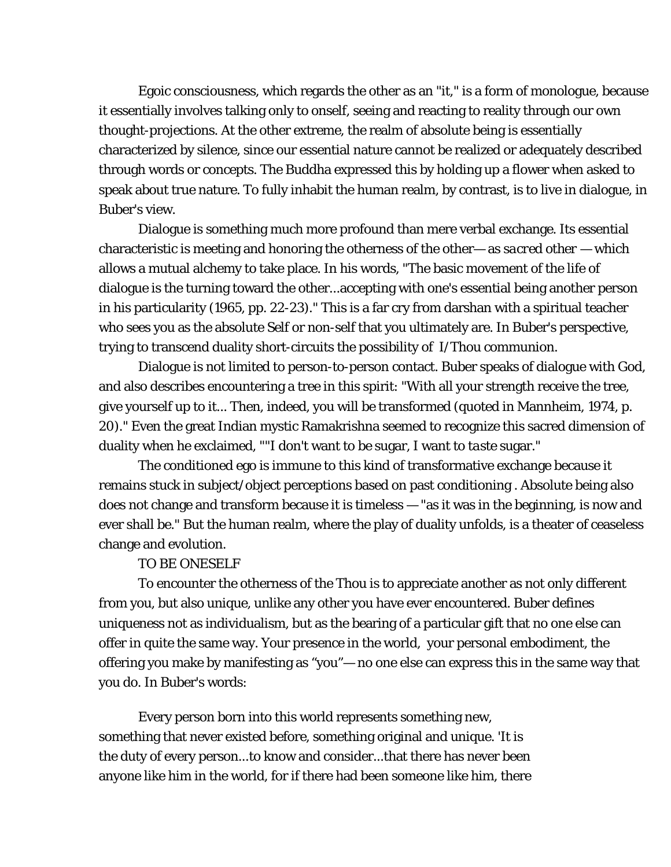Egoic consciousness, which regards the other as an "it," is a form of monologue, because it essentially involves talking only to onself, seeing and reacting to reality through our own thought-projections. At the other extreme, the realm of absolute being is essentially characterized by silence, since our essential nature cannot be realized or adequately described through words or concepts. The Buddha expressed this by holding up a flower when asked to speak about true nature. To fully inhabit the human realm, by contrast, is to live in dialogue, in Buber's view.

Dialogue is something much more profound than mere verbal exchange. Its essential characteristic is meeting and honoring the otherness of the other— as *sacred other* — which allows a mutual alchemy to take place. In his words, "The basic movement of the life of dialogue is the turning toward the other...accepting with one's essential being another person in his particularity (1965, pp. 22-23)." This is a far cry from darshan with a spiritual teacher who sees you as the absolute Self or non-self that you ultimately are. In Buber's perspective, trying to transcend duality short-circuits the possibility of I/Thou communion.

Dialogue is not limited to person-to-person contact. Buber speaks of dialogue with God, and also describes encountering a tree in this spirit: "With all your strength receive the tree, give yourself up to it... Then, indeed, you will be transformed (quoted in Mannheim, 1974, p. 20)." Even the great Indian mystic Ramakrishna seemed to recognize this sacred dimension of duality when he exclaimed, ""I don't want to *be* sugar, I want to *taste* sugar."

The conditioned ego is immune to this kind of transformative exchange because it remains stuck in subject/object perceptions based on past conditioning . Absolute being also does not change and transform because it is timeless — "as it was in the beginning, is now and ever shall be." But the human realm, where the play of duality unfolds, is a theater of ceaseless change and evolution.

#### TO BE ONESELF

To encounter the otherness of the Thou is to appreciate another as not only different from you, but also unique, unlike any other you have ever encountered. Buber defines *uniqueness* not as individualism, but as the bearing of a particular gift that no one else can offer in quite the same way. Your presence in the world, your personal embodiment, the offering you make by manifesting as "you"— no one else can express this in the same way that you do. In Buber's words:

Every person born into this world represents something new, something that never existed before, something original and unique. 'It is the duty of every person...to know and consider...that there has never been anyone like him in the world, for if there had been someone like him, there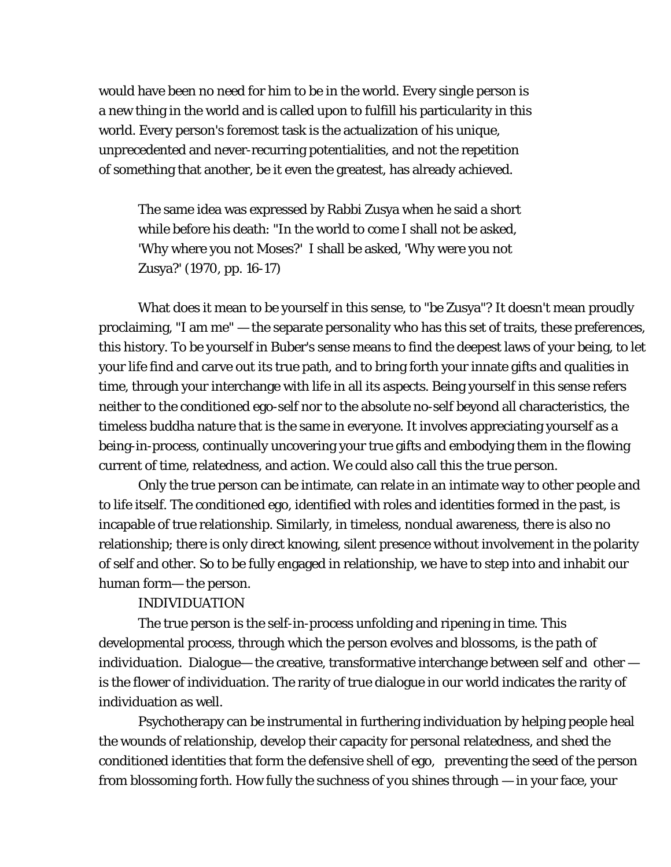would have been no need for him to be in the world. Every single person is a new thing in the world and is called upon to fulfill his particularity in this world. Every person's foremost task is the actualization of his unique, unprecedented and never-recurring potentialities, and not the repetition of something that another, be it even the greatest, has already achieved.

The same idea was expressed by Rabbi Zusya when he said a short while before his death: "In the world to come I shall not be asked, 'Why where you not Moses?' I shall be asked, 'Why were you not Zusya?' (1970, pp. 16-17)

What does it mean to be yourself in this sense, to "be Zusya"? It doesn't mean proudly proclaiming, "I am me" — the separate personality who has this set of traits, these preferences, this history. To be yourself in Buber's sense means to find the deepest laws of your being, to let your life find and carve out its true path, and to bring forth your innate gifts and qualities in time, through your interchange with life in all its aspects. Being yourself in this sense refers neither to the conditioned ego-self nor to the absolute no-self beyond all characteristics, the timeless buddha nature that is the same in everyone. It involves appreciating yourself as a being-in-process, continually uncovering your true gifts and embodying them in the flowing current of time, relatedness, and action. We could also call this the *true person*.

Only the true person can be intimate, can relate in an intimate way to other people and to life itself. The conditioned ego, identified with roles and identities formed in the past, is incapable of true relationship. Similarly, in timeless, nondual awareness, there is also no relationship; there is only direct knowing, silent presence without involvement in the polarity of self and other. So to be fully engaged in relationship, we have to step into and inhabit our human form— the person.

#### INDIVIDUATION

The true person is the self-in-process unfolding and ripening in time. This developmental process, through which the person evolves and blossoms, is the path of *individuation*. Dialogue— the creative, transformative interchange between self and other is the flower of individuation. The rarity of true dialogue in our world indicates the rarity of individuation as well.

Psychotherapy can be instrumental in furthering individuation by helping people heal the wounds of relationship, develop their capacity for personal relatedness, and shed the conditioned identities that form the defensive shell of ego, preventing the seed of the person from blossoming forth. How fully the suchness of *you* shines through — in your face, your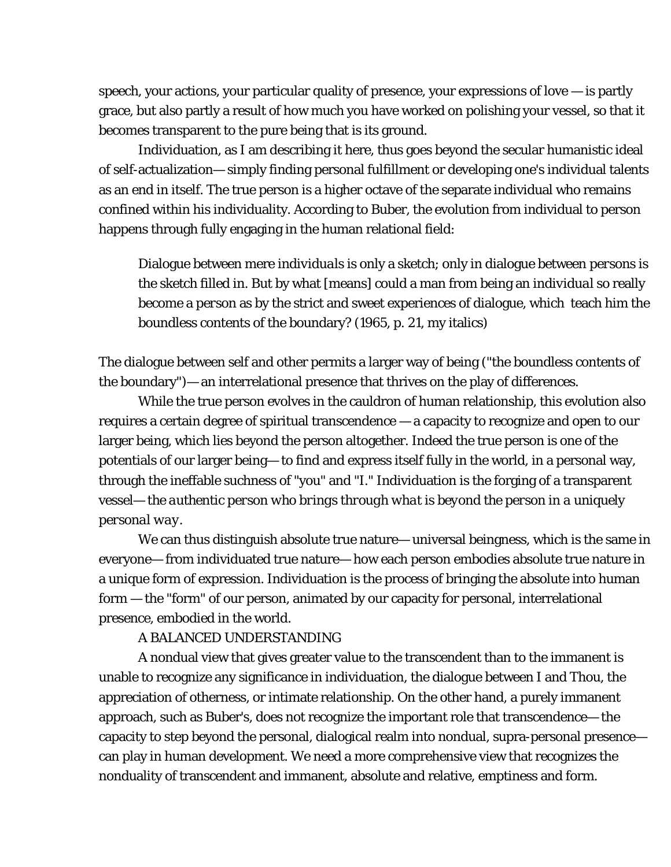speech, your actions, your particular quality of presence, your expressions of love — is partly grace, but also partly a result of how much you have worked on polishing your vessel, so that it becomes transparent to the pure being that is its ground.

Individuation, as I am describing it here, thus goes beyond the secular humanistic ideal of self-actualization— simply finding personal fulfillment or developing one's individual talents as an end in itself. The true person is a higher octave of the separate individual who remains confined within his individuality. According to Buber, the evolution from individual to person happens through fully engaging in the human relational field:

Dialogue between mere *individuals* is only a sketch; only in dialogue between *persons* is the sketch filled in. But by what [means] could a man from being an *individual* so really become a *person* as by the strict and sweet experiences of dialogue, which teach him the boundless contents of the boundary? (1965, p. 21, my italics)

The dialogue between self and other permits a larger way of being ("the boundless contents of the boundary")— an interrelational presence that thrives on the play of differences.

While the true person evolves in the cauldron of human relationship, this evolution also requires a certain degree of spiritual transcendence — a capacity to recognize and open to our larger being, which lies beyond the person altogether. Indeed the true person is one of the potentials of our larger being— to find and express itself fully in the world, in a personal way, through the ineffable suchness of "you" and "I." Individuation is the forging of a transparent vessel— *the authentic person who brings through what is beyond the person in a uniquely personal way*.

We can thus distinguish absolute true nature— universal beingness, which is the same in everyone— from individuated true nature— how each person embodies absolute true nature in a unique form of expression. Individuation is the process of bringing the absolute into human form — the "form" of our person, animated by our capacity for personal, interrelational presence, embodied in the world.

## A BALANCED UNDERSTANDING

A nondual view that gives greater value to the transcendent than to the immanent is unable to recognize any significance in individuation, the dialogue between I and Thou, the appreciation of otherness, or intimate relationship. On the other hand, a purely immanent approach, such as Buber's, does not recognize the important role that transcendence— the capacity to step beyond the personal, dialogical realm into nondual, supra-personal presence can play in human development. We need a more comprehensive view that recognizes the nonduality of transcendent and immanent, absolute and relative, emptiness and form.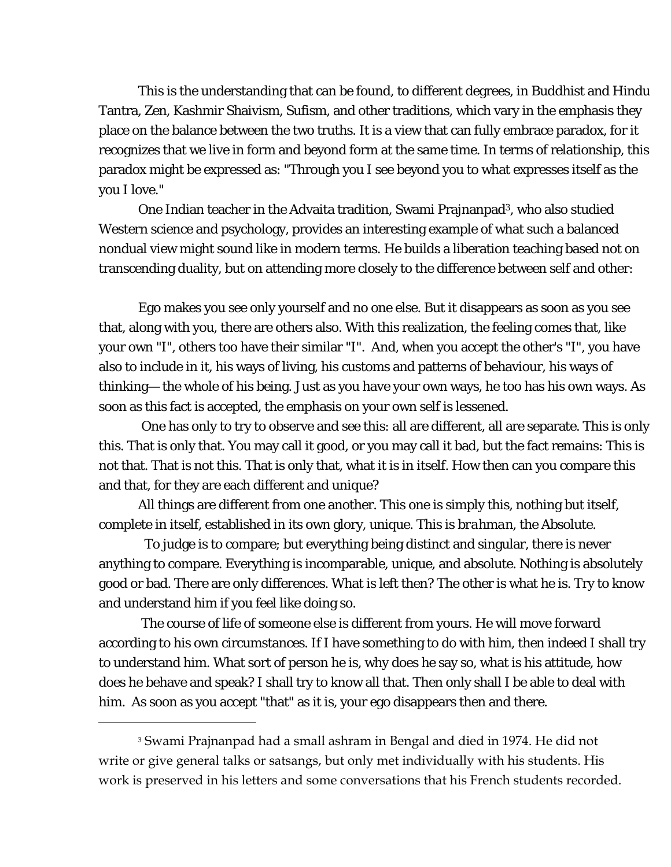This is the understanding that can be found, to different degrees, in Buddhist and Hindu Tantra, Zen, Kashmir Shaivism, Sufism, and other traditions, which vary in the emphasis they place on the balance between the two truths. It is a view that can fully embrace paradox, for it recognizes that we live in form and beyond form at the same time. In terms of relationship, this paradox might be expressed as: "Through you I see beyond you to what expresses itself as the you I love."

One Indian teacher in the Advaita tradition, Swami Prajnanpad<sup>3</sup>, who also studied Western science and psychology, provides an interesting example of what such a balanced nondual view might sound like in modern terms. He builds a liberation teaching based not on transcending duality, but on attending more closely to the difference between self and other:

Ego makes you see only yourself and no one else. But it disappears as soon as you see that, along with you, there are others also. With this realization, the feeling comes that, like your own "I", others too have their similar "I". And, when you accept the other's "I", you have also to include in it, his ways of living, his customs and patterns of behaviour, his ways of thinking— the whole of his being. Just as you have your own ways, he too has his own ways. As soon as this fact is accepted, the emphasis on your own self is lessened.

 One has only to try to observe and see this: all are different, all are separate. This is only this. That is only that. You may call it good, or you may call it bad, but the fact remains: This is not that. That is not this. That is only that, what it is in itself. How then can you compare this and that, for they are each different and unique?

All things are different from one another. This one is simply this, nothing but itself, complete in itself, established in its own glory, unique. This is *brahman*, the Absolute.

 To judge is to compare; but everything being distinct and singular, there is never anything to compare. Everything is incomparable, unique, and absolute. Nothing is absolutely good or bad. There are only differences. What is left then? The other is what he is. Try to know and understand him if you feel like doing so.

 The course of life of someone else is different from yours. He will move forward according to his own circumstances. If I have something to do with him, then indeed I shall try to understand him. What sort of person he is, why does he say so, what is his attitude, how does he behave and speak? I shall try to know all that. Then only shall I be able to deal with him. As soon as you accept "that" as it is, your ego disappears then and there.

 $\overline{a}$ 

<span id="page-9-0"></span><sup>3</sup> Swami Prajnanpad had a small ashram in Bengal and died in 1974. He did not write or give general talks or satsangs, but only met individually with his students. His work is preserved in his letters and some conversations that his French students recorded.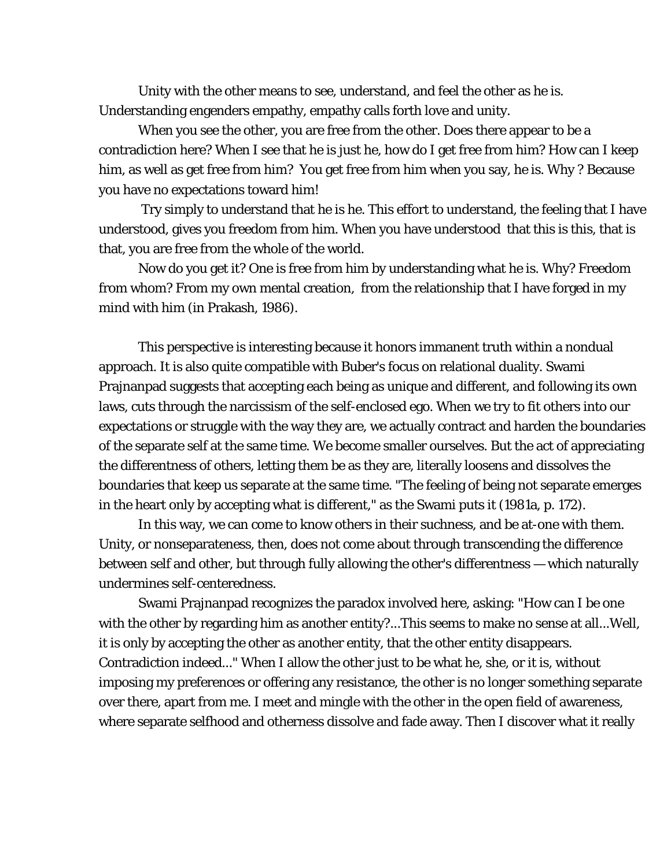Unity with the other means to see, understand, and feel the other as he is. Understanding engenders empathy, empathy calls forth love and unity.

When you see the other, you are free from the other. Does there appear to be a contradiction here? When I see that he is just he, how do I get free from him? How can I keep him, as well as get free from him? You get free from him when you say, he is. Why ? Because you have no expectations toward him!

 Try simply to understand that he is he. This effort to understand, the feeling that I have understood, gives you freedom from him. When you have understood that this is this, that is that, you are free from the whole of the world.

Now do you get it? One is free from him by understanding what he is. Why? Freedom from whom? From my own mental creation, from the relationship that I have forged in my mind with him (in Prakash, 1986).

This perspective is interesting because it honors immanent truth within a nondual approach. It is also quite compatible with Buber's focus on relational duality. Swami Prajnanpad suggests that accepting each being as unique and different, and following its own laws, cuts through the narcissism of the self-enclosed ego. When we try to fit others into our expectations or struggle with the way they are, we actually contract and harden the boundaries of the separate self at the same time. We become smaller ourselves. But the act of appreciating the differentness of others, letting them be as they are, literally loosens and dissolves the boundaries that keep us separate at the same time. "The feeling of being not separate emerges in the heart only by accepting what is different," as the Swami puts it (1981a, p. 172).

In this way, we can come to know others in their suchness, and be at-one with them. Unity, or nonseparateness, then, does not come about through transcending the difference between self and other, but through fully allowing the other's differentness — which naturally undermines self-centeredness.

Swami Prajnanpad recognizes the paradox involved here, asking: "How can I be one with the other by regarding him as another entity?...This seems to make no sense at all...Well, it is only by accepting the other as another entity, that the other entity disappears. Contradiction indeed..." When I allow the other just to be what he, she, or it is, without imposing my preferences or offering any resistance, the other is no longer something separate over there, apart from me. I meet and mingle with the other in the open field of awareness, where separate selfhood and otherness dissolve and fade away. Then I discover what it really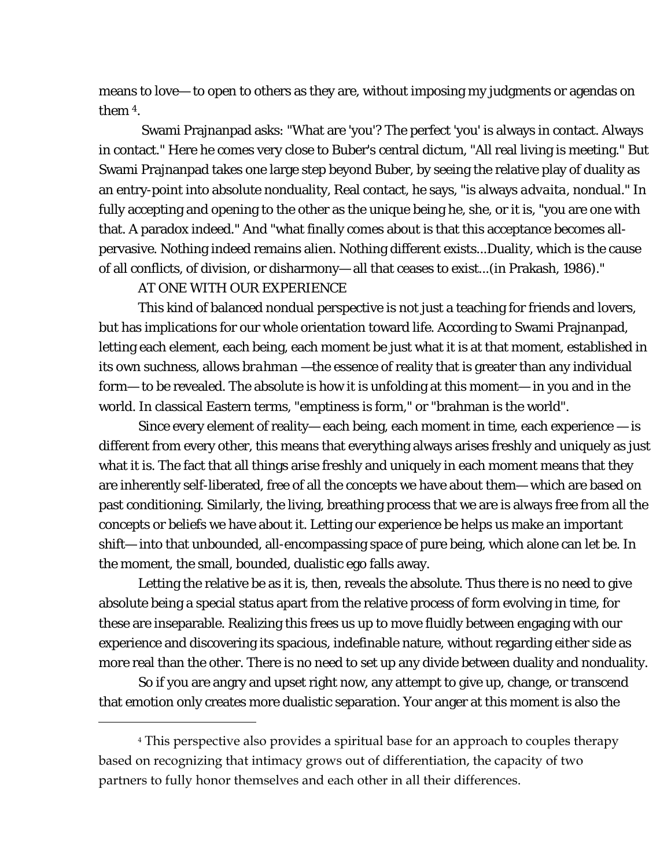means to love— to open to others as they are, without imposing my judgments or agendas on them [4.](#page-11-0)

 Swami Prajnanpad asks: "What are 'you'? The perfect 'you' is always in contact. Always in contact." Here he comes very close to Buber's central dictum, "All real living is meeting." But Swami Prajnanpad takes one large step beyond Buber, by seeing the relative play of duality as an entry-point into absolute nonduality, Real contact, he says, "is always *advaita*, nondual." In fully accepting and opening to the other as the unique being he, she, or it is, "you are one with that. A paradox indeed." And "what finally comes about is that this acceptance becomes allpervasive. Nothing indeed remains alien. Nothing different exists...Duality, which is the cause of all conflicts, of division, or disharmony— all that ceases to exist...(in Prakash, 1986)."

### AT ONE WITH OUR EXPERIENCE

<span id="page-11-0"></span><u>.</u>

This kind of balanced nondual perspective is not just a teaching for friends and lovers, but has implications for our whole orientation toward life. According to Swami Prajnanpad, letting each element, each being, each moment be just what it is at that moment, established in its own suchness, allows *brahman* —the essence of reality that is greater than any individual form— to be revealed. The absolute *is* how it is unfolding at this moment— in you and in the world. In classical Eastern terms, "emptiness *is* form," or "brahman *is* the world".

Since every element of reality— each being, each moment in time, each experience — is different from every other, this means that everything always arises freshly and uniquely as just what it is. The fact that all things arise freshly and uniquely in each moment means that they are inherently self-liberated, free of all the concepts we have about them— which are based on past conditioning. Similarly, the living, breathing process that we are is always free from all the concepts or beliefs we have about it. Letting our experience be helps us make an important shift— into that unbounded, all-encompassing space of pure being, which alone can let be. In the moment, the small, bounded, dualistic ego falls away.

Letting the relative be as it is, then, reveals the absolute. Thus there is no need to give absolute being a special status apart from the relative process of form evolving in time, for these are inseparable. Realizing this frees us up to move fluidly between engaging with our experience and discovering its spacious, indefinable nature, without regarding either side as more real than the other. There is no need to set up any divide between duality and nonduality.

So if you are angry and upset right now, any attempt to give up, change, or transcend that emotion only creates more dualistic separation. Your anger at this moment is also the

<sup>4</sup> This perspective also provides a spiritual base for an approach to couples therapy based on recognizing that intimacy grows out of differentiation, the capacity of two partners to fully honor themselves and each other in all their differences.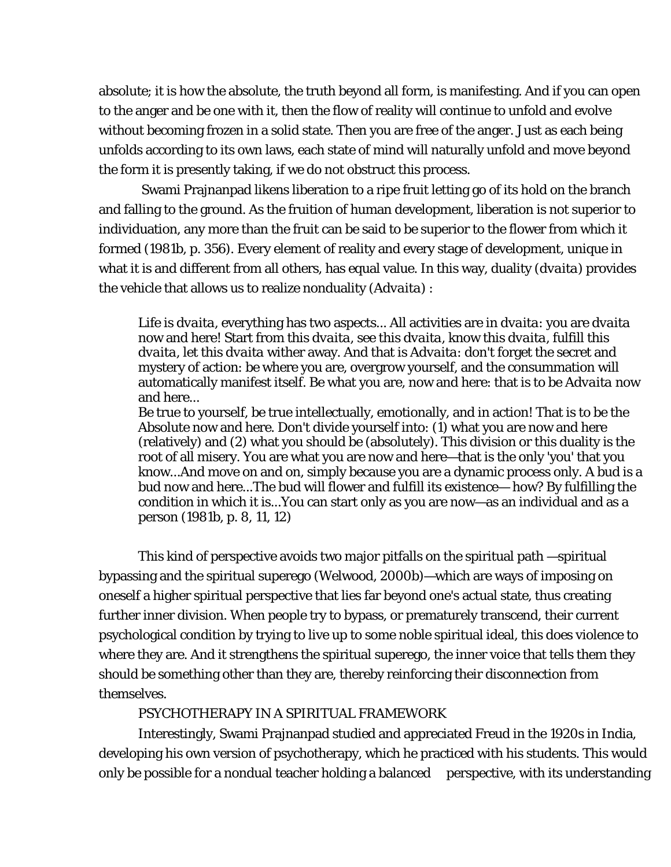absolute; it is how the absolute, the truth beyond all form, is manifesting. And if you can open to the anger and be one with it, then the flow of reality will continue to unfold and evolve without becoming frozen in a solid state. Then you are free of the anger. Just as each being unfolds according to its own laws, each state of mind will naturally unfold and move beyond the form it is presently taking, if we do not obstruct this process.

 Swami Prajnanpad likens liberation to a ripe fruit letting go of its hold on the branch and falling to the ground. As the fruition of human development, liberation is not superior to individuation, any more than the fruit can be said to be superior to the flower from which it formed (1981b, p. 356). Every element of reality and every stage of development, unique in what it is and different from all others, has equal value. In this way, duality (*dvaita*) provides the vehicle that allows us to realize nonduality (*Advaita*) :

Life is *dvaita*, everything has two aspects... All activities are in *dvaita*: you are *dvaita*  now and here! Start from this *dvaita*, see this *dvaita*, know this *dvaita*, fulfill this *dvaita*, let this *dvaita* wither away. And that is *Advaita*: don't forget the secret and mystery of action: be where you are, overgrow yourself, and the consummation will automatically manifest itself. Be what you are, now and here: that is to be *Advaita* now and here...

Be true to yourself, be true intellectually, emotionally, and in action! That is to be the Absolute now and here. Don't divide yourself into: (1) what you are now and here (relatively) and (2) what you should be (absolutely). This division or this duality is the root of all misery. You are what you are now and here—that is the only 'you' that you know...And move on and on, simply because you are a dynamic process only. A bud is a bud now and here...The bud will flower and fulfill its existence— how? By fulfilling the condition in which it is...You can start only as you are now—as an individual and as a person (1981b, p. 8, 11, 12)

This kind of perspective avoids two major pitfalls on the spiritual path —spiritual bypassing and the spiritual superego (Welwood, 2000b)—which are ways of imposing on oneself a higher spiritual perspective that lies far beyond one's actual state, thus creating further inner division. When people try to bypass, or prematurely transcend, their current psychological condition by trying to live up to some noble spiritual ideal, this does violence to where they are. And it strengthens the spiritual superego, the inner voice that tells them they should be something other than they are, thereby reinforcing their disconnection from themselves.

## PSYCHOTHERAPY IN A SPIRITUAL FRAMEWORK

Interestingly, Swami Prajnanpad studied and appreciated Freud in the 1920s in India, developing his own version of psychotherapy, which he practiced with his students. This would only be possible for a nondual teacher holding a balanced perspective, with its understanding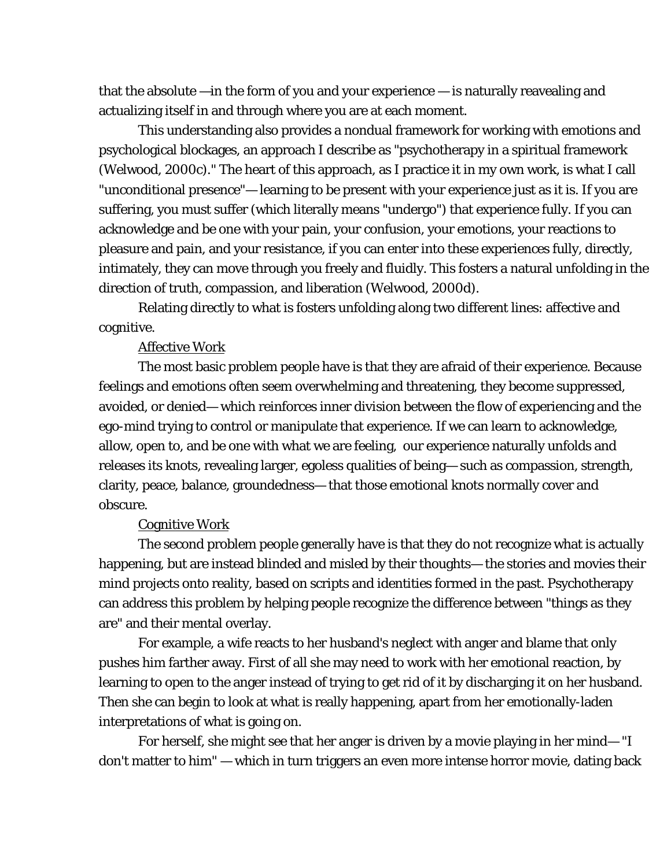that the absolute —in the form of you and your experience — is naturally reavealing and actualizing itself in and through where you are at each moment.

This understanding also provides a nondual framework for working with emotions and psychological blockages, an approach I describe as "psychotherapy in a spiritual framework (Welwood, 2000c)." The heart of this approach, as I practice it in my own work, is what I call "unconditional presence"— learning to be present with your experience just as it is. If you are suffering, you must suffer (which literally means "undergo") that experience fully. If you can acknowledge and be one with your pain, your confusion, your emotions, your reactions to pleasure and pain, and your resistance, if you can enter into these experiences fully, directly, intimately, they can move through you freely and fluidly. This fosters a natural unfolding in the direction of truth, compassion, and liberation (Welwood, 2000d).

Relating directly to what is fosters unfolding along two different lines: affective and cognitive.

#### Affective Work

The most basic problem people have is that they are afraid of their experience. Because feelings and emotions often seem overwhelming and threatening, they become suppressed, avoided, or denied— which reinforces inner division between the flow of experiencing and the ego-mind trying to control or manipulate that experience. If we can learn to acknowledge, allow, open to, and be one with what we are feeling, our experience naturally unfolds and releases its knots, revealing larger, egoless qualities of being— such as compassion, strength, clarity, peace, balance, groundedness— that those emotional knots normally cover and obscure.

#### Cognitive Work

The second problem people generally have is that they do not recognize what is actually happening, but are instead blinded and misled by their thoughts— the stories and movies their mind projects onto reality, based on scripts and identities formed in the past. Psychotherapy can address this problem by helping people recognize the difference between "things as they are" and their mental overlay.

For example, a wife reacts to her husband's neglect with anger and blame that only pushes him farther away. First of all she may need to work with her emotional reaction, by learning to open to the anger instead of trying to get rid of it by discharging it on her husband. Then she can begin to look at what is really happening, apart from her emotionally-laden interpretations of what is going on.

For herself, she might see that her anger is driven by a movie playing in her mind— "I don't matter to him" — which in turn triggers an even more intense horror movie, dating back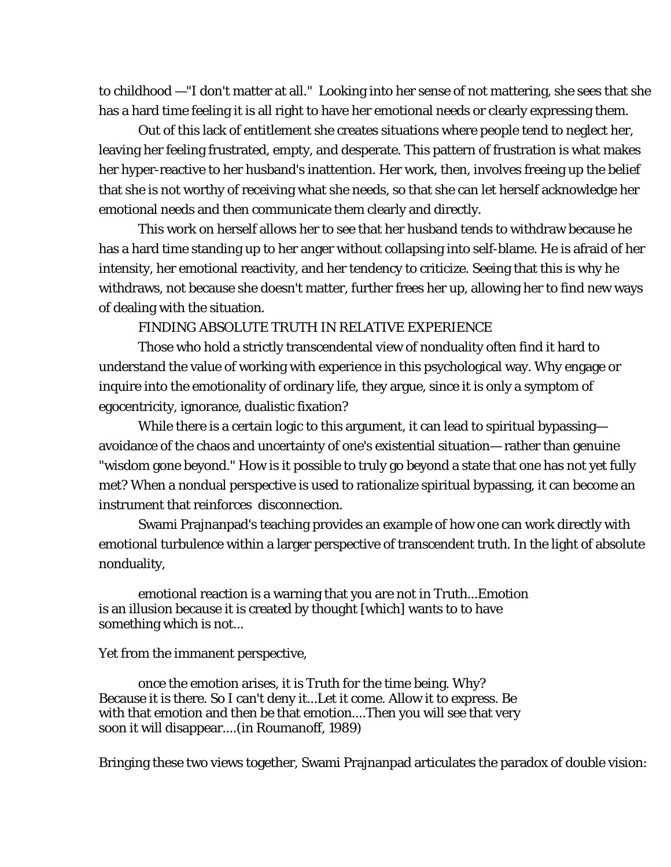to childhood —"I don't matter at all." Looking into her sense of not mattering, she sees that she has a hard time feeling it is all right to have her emotional needs or clearly expressing them.

Out of this lack of entitlement she creates situations where people tend to neglect her, leaving her feeling frustrated, empty, and desperate. This pattern of frustration is what makes her hyper-reactive to her husband's inattention. Her work, then, involves freeing up the belief that she is not worthy of receiving what she needs, so that she can let herself acknowledge her emotional needs and then communicate them clearly and directly.

This work on herself allows her to see that her husband tends to withdraw because he has a hard time standing up to her anger without collapsing into self-blame. He is afraid of her intensity, her emotional reactivity, and her tendency to criticize. Seeing that this is why he withdraws, not because she doesn't matter, further frees her up, allowing her to find new ways of dealing with the situation.

FINDING ABSOLUTE TRUTH IN RELATIVE EXPERIENCE

Those who hold a strictly transcendental view of nonduality often find it hard to understand the value of working with experience in this psychological way. Why engage or inquire into the emotionality of ordinary life, they argue, since it is only a symptom of egocentricity, ignorance, dualistic fixation?

While there is a certain logic to this argument, it can lead to spiritual bypassing avoidance of the chaos and uncertainty of one's existential situation— rather than genuine "wisdom gone beyond." How is it possible to truly go beyond a state that one has not yet fully met? When a nondual perspective is used to rationalize spiritual bypassing, it can become an instrument that reinforces disconnection.

Swami Prajnanpad's teaching provides an example of how one can work directly with emotional turbulence within a larger perspective of transcendent truth. In the light of absolute nonduality,

emotional reaction is a warning that you are not in Truth...Emotion is an illusion because it is created by thought [which] wants to to have something which is not...

Yet from the immanent perspective,

once the emotion arises, it *is* Truth for the time being. Why? Because it is there. So I can't deny it...Let it come. Allow it to express. Be with that emotion and then be that emotion....Then you will see that very soon it will disappear....(in Roumanoff, 1989)

Bringing these two views together, Swami Prajnanpad articulates the paradox of double vision: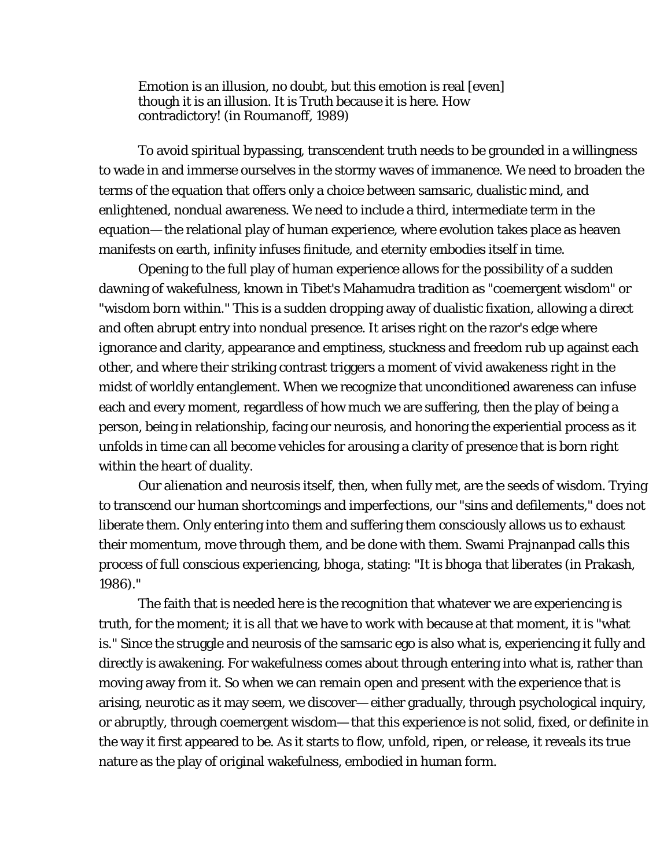Emotion is an illusion, no doubt, but this emotion is real [even] though it is an illusion. It is Truth because it is here. How contradictory! (in Roumanoff, 1989)

To avoid spiritual bypassing, transcendent truth needs to be grounded in a willingness to wade in and immerse ourselves in the stormy waves of immanence. We need to broaden the terms of the equation that offers only a choice between samsaric, dualistic mind, and enlightened, nondual awareness. We need to include a third, intermediate term in the equation— the relational play of human experience, where evolution takes place as heaven manifests on earth, infinity infuses finitude, and eternity embodies itself in time.

Opening to the full play of human experience allows for the possibility of a sudden dawning of wakefulness, known in Tibet's Mahamudra tradition as "coemergent wisdom" or "wisdom born within." This is a sudden dropping away of dualistic fixation, allowing a direct and often abrupt entry into nondual presence. It arises right on the razor's edge where ignorance and clarity, appearance and emptiness, stuckness and freedom rub up against each other, and where their striking contrast triggers a moment of vivid awakeness right in the midst of worldly entanglement. When we recognize that unconditioned awareness can infuse each and every moment, regardless of how much we are suffering, then the play of being a person, being in relationship, facing our neurosis, and honoring the experiential process as it unfolds in time can all become vehicles for arousing a clarity of presence that is born right within the heart of duality.

Our alienation and neurosis itself, then, when fully met, are the seeds of wisdom. Trying to transcend our human shortcomings and imperfections, our "sins and defilements," does not liberate them. Only entering into them and suffering them consciously allows us to exhaust their momentum, move through them, and be done with them. Swami Prajnanpad calls this process of full conscious experiencing, *bhoga,* stating: "It is *bhoga* that liberates (in Prakash, 1986)."

The faith that is needed here is the recognition that whatever we are experiencing is truth, for the moment; it is all that we have to work with because at that moment, it is "what is." Since the struggle and neurosis of the samsaric ego is also what is, experiencing it fully and directly *is* awakening. For wakefulness comes about through entering into what is, rather than moving away from it. So when we can remain open and present with the experience that is arising, neurotic as it may seem, we discover— either gradually, through psychological inquiry, or abruptly, through coemergent wisdom— that this experience is not solid, fixed, or definite in the way it first appeared to be. As it starts to flow, unfold, ripen, or release, it reveals its true nature as the play of original wakefulness, embodied in human form.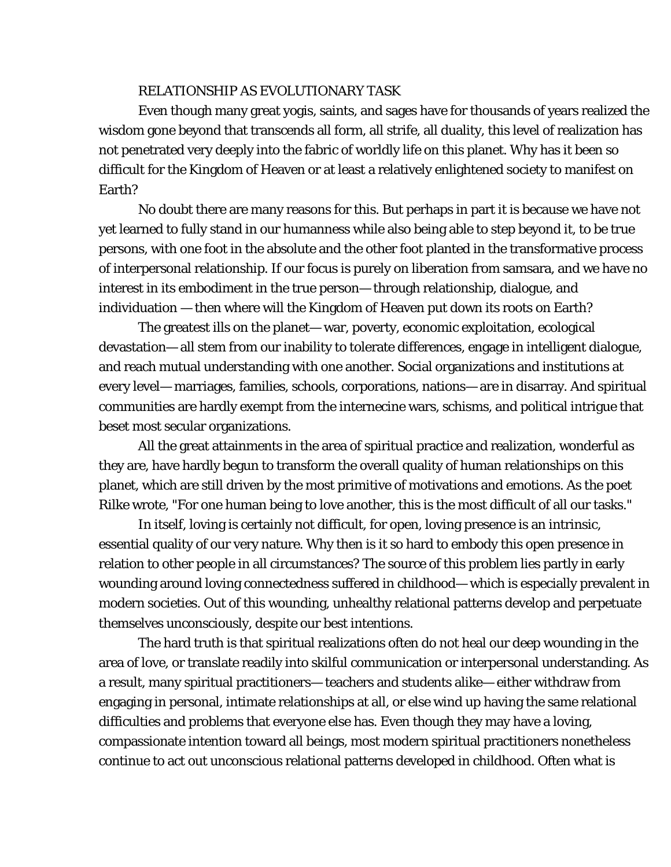### RELATIONSHIP AS EVOLUTIONARY TASK

Even though many great yogis, saints, and sages have for thousands of years realized the wisdom gone beyond that transcends all form, all strife, all duality, this level of realization has not penetrated very deeply into the fabric of worldly life on this planet. Why has it been so difficult for the Kingdom of Heaven or at least a relatively enlightened society to manifest on Earth?

No doubt there are many reasons for this. But perhaps in part it is because we have not yet learned to fully stand in our humanness while also being able to step beyond it, to be true persons, with one foot in the absolute and the other foot planted in the transformative process of interpersonal relationship. If our focus is purely on liberation from samsara, and we have no interest in its embodiment in the true person— through relationship, dialogue, and individuation — then where will the Kingdom of Heaven put down its roots on Earth?

The greatest ills on the planet— war, poverty, economic exploitation, ecological devastation— all stem from our inability to tolerate differences, engage in intelligent dialogue, and reach mutual understanding with one another. Social organizations and institutions at every level— marriages, families, schools, corporations, nations— are in disarray. And spiritual communities are hardly exempt from the internecine wars, schisms, and political intrigue that beset most secular organizations.

All the great attainments in the area of spiritual practice and realization, wonderful as they are, have hardly begun to transform the overall quality of human relationships on this planet, which are still driven by the most primitive of motivations and emotions. As the poet Rilke wrote, "For one human being to love another, this is the most difficult of all our tasks."

In itself, loving is certainly not difficult, for open, loving presence is an intrinsic, essential quality of our very nature. Why then is it so hard to embody this open presence in relation to other people in all circumstances? The source of this problem lies partly in early wounding around loving connectedness suffered in childhood— which is especially prevalent in modern societies. Out of this wounding, unhealthy relational patterns develop and perpetuate themselves unconsciously, despite our best intentions.

The hard truth is that spiritual realizations often do not heal our deep wounding in the area of love, or translate readily into skilful communication or interpersonal understanding. As a result, many spiritual practitioners— teachers and students alike— either withdraw from engaging in personal, intimate relationships at all, or else wind up having the same relational difficulties and problems that everyone else has. Even though they may have a loving, compassionate intention toward all beings, most modern spiritual practitioners nonetheless continue to act out unconscious relational patterns developed in childhood. Often what is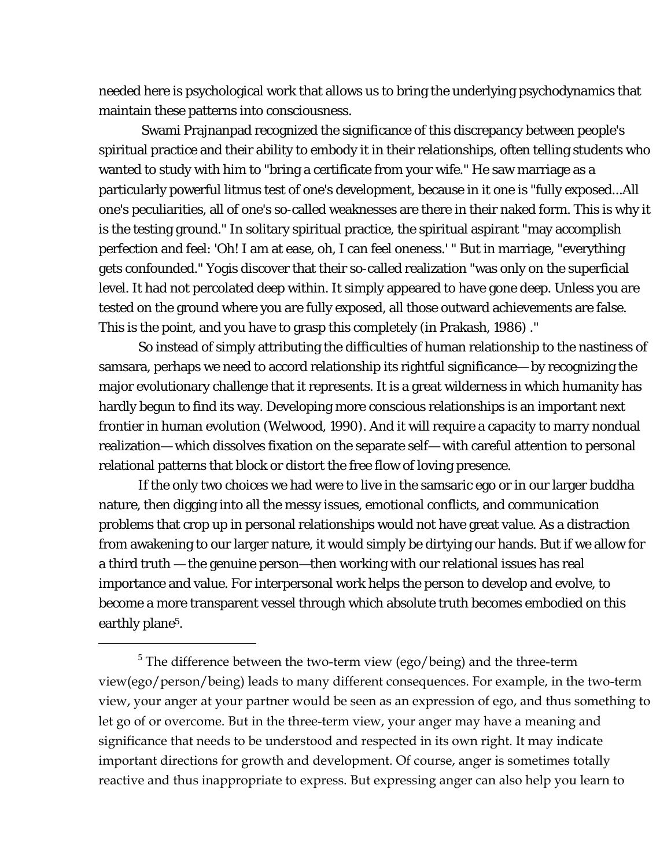needed here is psychological work that allows us to bring the underlying psychodynamics that maintain these patterns into consciousness.

 Swami Prajnanpad recognized the significance of this discrepancy between people's spiritual practice and their ability to embody it in their relationships, often telling students who wanted to study with him to "bring a certificate from your wife." He saw marriage as a particularly powerful litmus test of one's development, because in it one is "fully exposed...All one's peculiarities, all of one's so-called weaknesses are there in their naked form. This is why it is the testing ground." In solitary spiritual practice, the spiritual aspirant "may accomplish perfection and feel: 'Oh! I am at ease, oh, I can feel oneness.' " But in marriage, "everything gets confounded." Yogis discover that their so-called realization "was only on the superficial level. It had not percolated deep within. It simply appeared to have gone deep. Unless you are tested on the ground where you are fully exposed, all those outward achievements are false. This is the point, and you have to grasp this completely (in Prakash, 1986) ."

So instead of simply attributing the difficulties of human relationship to the nastiness of samsara, perhaps we need to accord relationship its rightful significance— by recognizing the major evolutionary challenge that it represents. It is a great wilderness in which humanity has hardly begun to find its way. Developing more conscious relationships is an important next frontier in human evolution (Welwood, 1990). And it will require a capacity to marry nondual realization— which dissolves fixation on the separate self— with careful attention to personal relational patterns that block or distort the free flow of loving presence.

If the only two choices we had were to live in the samsaric ego or in our larger buddha nature, then digging into all the messy issues, emotional conflicts, and communication problems that crop up in personal relationships would not have great value. As a distraction from awakening to our larger nature, it would simply be dirtying our hands. But if we allow for a third truth — the genuine person—then working with our relational issues has real importance and value. For interpersonal work helps the person to develop and evolve, to become a more transparent vessel through which absolute truth becomes embodied on this earthly plane<sup>5</sup>.

 $\overline{a}$ 

<span id="page-17-0"></span><sup>&</sup>lt;sup>5</sup> The difference between the two-term view (ego/being) and the three-term view(ego/person/being) leads to many different consequences. For example, in the two-term view, your anger at your partner would be seen as an expression of ego, and thus something to let go of or overcome. But in the three-term view, your anger may have a meaning and significance that needs to be understood and respected in its own right. It may indicate important directions for growth and development. Of course, anger is sometimes totally reactive and thus inappropriate to express. But expressing anger can also help you learn to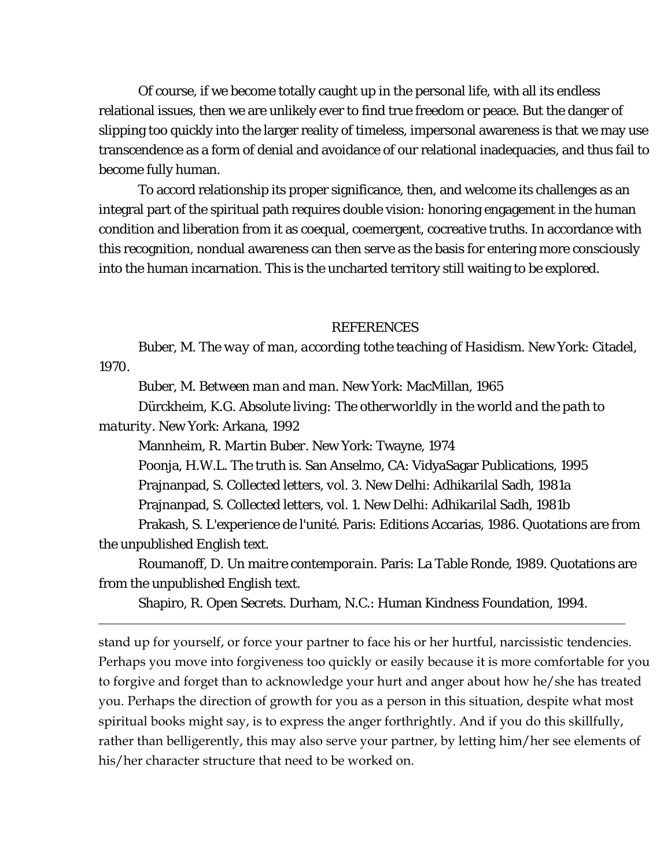Of course, if we become totally caught up in the personal life, with all its endless relational issues, then we are unlikely ever to find true freedom or peace. But the danger of slipping too quickly into the larger reality of timeless, impersonal awareness is that we may use transcendence as a form of denial and avoidance of our relational inadequacies, and thus fail to become fully human.

To accord relationship its proper significance, then, and welcome its challenges as an integral part of the spiritual path requires double vision: honoring engagement in the human condition and liberation from it as coequal, coemergent, cocreative truths. In accordance with this recognition, nondual awareness can then serve as the basis for entering more consciously into the human incarnation. This is the uncharted territory still waiting to be explored.

#### REFERENCES

Buber, M. *The way of man, according tothe teaching of Hasidism.* New York: Citadel, 1970.

Buber, M. *Between man and man*. New York: MacMillan, 1965

Dürckheim, K.G. *Absolute living: The otherworldly in the world and the path to maturity.* New York: Arkana, 1992

Mannheim, R. *Martin Buber*. New York: Twayne, 1974

 $\overline{a}$ 

Poonja, H.W.L. *The truth is.* San Anselmo, CA: VidyaSagar Publications, 1995

Prajnanpad, S. *Collected letters, vol. 3*. New Delhi: Adhikarilal Sadh, 1981a

Prajnanpad, S. *Collected letters, vol. 1.* New Delhi: Adhikarilal Sadh, 1981b

Prakash, S. *L'experience de l'unité*. Paris: Editions Accarias, 1986. Quotations are from the unpublished English text.

Roumanoff, D. *Un maitre contemporain*. Paris: La Table Ronde, 1989. Quotations are from the unpublished English text.

Shapiro, R. *Open Secrets*. Durham, N.C.: Human Kindness Foundation, 1994.

stand up for yourself, or force your partner to face his or her hurtful, narcissistic tendencies. Perhaps you move into forgiveness too quickly or easily because it is more comfortable for you to forgive and forget than to acknowledge your hurt and anger about how he/she has treated you. Perhaps the direction of growth for you as a person in this situation, despite what most spiritual books might say, is to express the anger forthrightly. And if you do this skillfully, rather than belligerently, this may also serve your partner, by letting him/her see elements of his/her character structure that need to be worked on.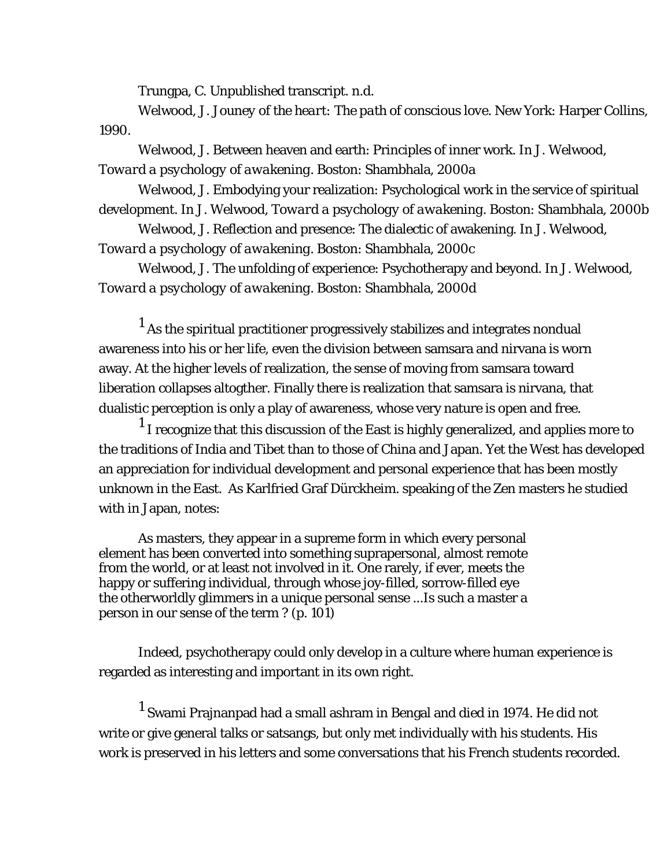Trungpa, C. Unpublished transcript. n.d.

Welwood, J. *Jouney of the heart: The path of conscious love*. New York: Harper Collins, 1990.

Welwood, J. Between heaven and earth: Principles of inner work. In J. Welwood, *Toward a psychology of awakening*. Boston: Shambhala, 2000a

Welwood, J. Embodying your realization: Psychological work in the service of spiritual development. In J. Welwood, *Toward a psychology of awakening*. Boston: Shambhala, 2000b

Welwood, J. Reflection and presence: The dialectic of awakening. In J. Welwood, *Toward a psychology of awakening*. Boston: Shambhala, 2000c

 Welwood, J. The unfolding of experience: Psychotherapy and beyond. In J. Welwood, *Toward a psychology of awakening*. Boston: Shambhala, 2000d

 $^{\rm 1}$  As the spiritual practitioner progressively stabilizes and integrates nondual awareness into his or her life, even the division between samsara and nirvana is worn away. At the higher levels of realization, the sense of moving from samsara toward liberation collapses altogther. Finally there is realization that samsara *is* nirvana, that dualistic perception is only a play of awareness, whose very nature is open and free.

 $^1$  I recognize that this discussion of the East is highly generalized, and applies more to the traditions of India and Tibet than to those of China and Japan. Yet the West has developed an appreciation for individual development and personal experience that has been mostly unknown in the East. As Karlfried Graf Dürckheim. speaking of the Zen masters he studied with in Japan, notes:

As masters, they appear in a supreme form in which every personal element has been converted into something suprapersonal, almost remote from the world, or at least not involved in it. One rarely, if ever, meets the happy or suffering individual, through whose joy-filled, sorrow-filled eye the otherworldly glimmers in a unique personal sense ...Is such a master a person in our sense of the term ? (p. 101)

Indeed, psychotherapy could only develop in a culture where human experience is regarded as interesting and important in its own right.

 $^1$  Swami Prajnanpad had a small ashram in Bengal and died in 1974. He did not write or give general talks or satsangs, but only met individually with his students. His work is preserved in his letters and some conversations that his French students recorded.